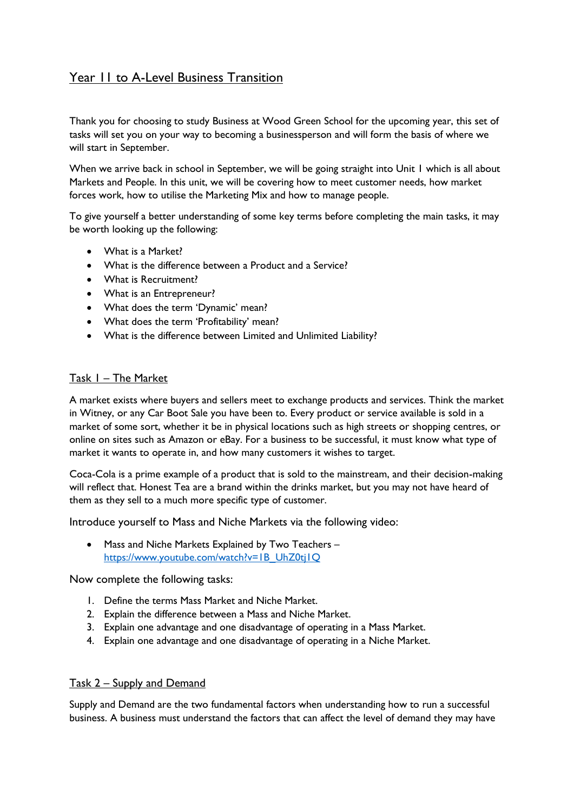# Year 11 to A-Level Business Transition

Thank you for choosing to study Business at Wood Green School for the upcoming year, this set of tasks will set you on your way to becoming a businessperson and will form the basis of where we will start in September.

When we arrive back in school in September, we will be going straight into Unit 1 which is all about Markets and People. In this unit, we will be covering how to meet customer needs, how market forces work, how to utilise the Marketing Mix and how to manage people.

To give yourself a better understanding of some key terms before completing the main tasks, it may be worth looking up the following:

- What is a Market?
- What is the difference between a Product and a Service?
- What is Recruitment?
- What is an Entrepreneur?
- What does the term 'Dynamic' mean?
- What does the term 'Profitability' mean?
- What is the difference between Limited and Unlimited Liability?

### Task 1 – The Market

A market exists where buyers and sellers meet to exchange products and services. Think the market in Witney, or any Car Boot Sale you have been to. Every product or service available is sold in a market of some sort, whether it be in physical locations such as high streets or shopping centres, or online on sites such as Amazon or eBay. For a business to be successful, it must know what type of market it wants to operate in, and how many customers it wishes to target.

Coca-Cola is a prime example of a product that is sold to the mainstream, and their decision-making will reflect that. Honest Tea are a brand within the drinks market, but you may not have heard of them as they sell to a much more specific type of customer.

Introduce yourself to Mass and Niche Markets via the following video:

• Mass and Niche Markets Explained by Two Teachers – [https://www.youtube.com/watch?v=1B\\_UhZ0tj1Q](https://www.youtube.com/watch?v=1B_UhZ0tj1Q)

Now complete the following tasks:

- 1. Define the terms Mass Market and Niche Market.
- 2. Explain the difference between a Mass and Niche Market.
- 3. Explain one advantage and one disadvantage of operating in a Mass Market.
- 4. Explain one advantage and one disadvantage of operating in a Niche Market.

### Task 2 – Supply and Demand

Supply and Demand are the two fundamental factors when understanding how to run a successful business. A business must understand the factors that can affect the level of demand they may have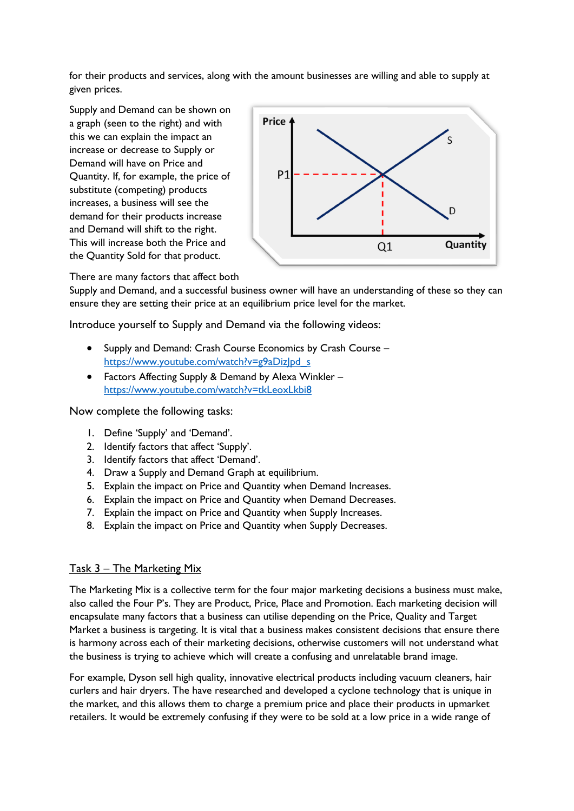for their products and services, along with the amount businesses are willing and able to supply at given prices.

Supply and Demand can be shown on a graph (seen to the right) and with this we can explain the impact an increase or decrease to Supply or Demand will have on Price and Quantity. If, for example, the price of substitute (competing) products increases, a business will see the demand for their products increase and Demand will shift to the right. This will increase both the Price and the Quantity Sold for that product.



There are many factors that affect both

Supply and Demand, and a successful business owner will have an understanding of these so they can ensure they are setting their price at an equilibrium price level for the market.

Introduce yourself to Supply and Demand via the following videos:

- Supply and Demand: Crash Course Economics by Crash Course [https://www.youtube.com/watch?v=g9aDizJpd\\_s](https://www.youtube.com/watch?v=g9aDizJpd_s)
- Factors Affecting Supply & Demand by Alexa Winkler <https://www.youtube.com/watch?v=tkLeoxLkbi8>

Now complete the following tasks:

- 1. Define 'Supply' and 'Demand'.
- 2. Identify factors that affect 'Supply'.
- 3. Identify factors that affect 'Demand'.
- 4. Draw a Supply and Demand Graph at equilibrium.
- 5. Explain the impact on Price and Quantity when Demand Increases.
- 6. Explain the impact on Price and Quantity when Demand Decreases.
- 7. Explain the impact on Price and Quantity when Supply Increases.
- 8. Explain the impact on Price and Quantity when Supply Decreases.

### Task 3 – The Marketing Mix

The Marketing Mix is a collective term for the four major marketing decisions a business must make, also called the Four P's. They are Product, Price, Place and Promotion. Each marketing decision will encapsulate many factors that a business can utilise depending on the Price, Quality and Target Market a business is targeting. It is vital that a business makes consistent decisions that ensure there is harmony across each of their marketing decisions, otherwise customers will not understand what the business is trying to achieve which will create a confusing and unrelatable brand image.

For example, Dyson sell high quality, innovative electrical products including vacuum cleaners, hair curlers and hair dryers. The have researched and developed a cyclone technology that is unique in the market, and this allows them to charge a premium price and place their products in upmarket retailers. It would be extremely confusing if they were to be sold at a low price in a wide range of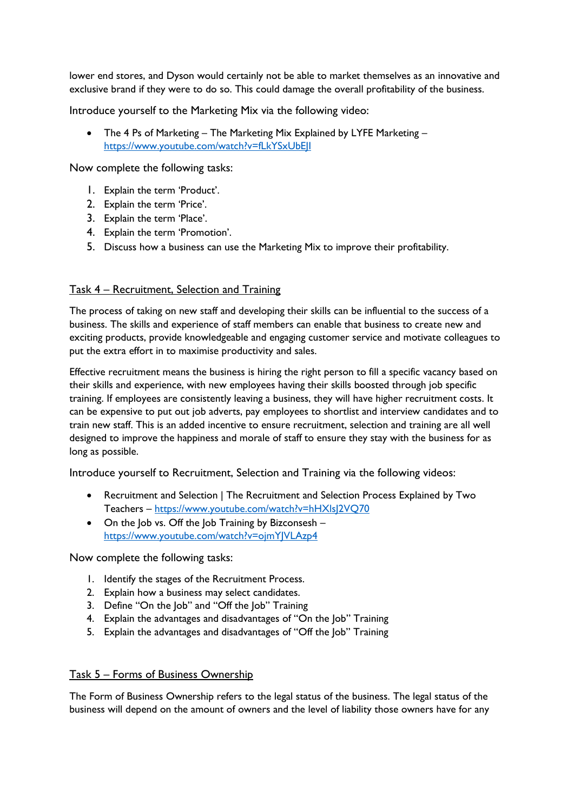lower end stores, and Dyson would certainly not be able to market themselves as an innovative and exclusive brand if they were to do so. This could damage the overall profitability of the business.

Introduce yourself to the Marketing Mix via the following video:

• The 4 Ps of Marketing – The Marketing Mix Explained by LYFE Marketing – <https://www.youtube.com/watch?v=fLkYSxUbEJI>

Now complete the following tasks:

- 1. Explain the term 'Product'.
- 2. Explain the term 'Price'.
- 3. Explain the term 'Place'.
- 4. Explain the term 'Promotion'.
- 5. Discuss how a business can use the Marketing Mix to improve their profitability.

## Task 4 – Recruitment, Selection and Training

The process of taking on new staff and developing their skills can be influential to the success of a business. The skills and experience of staff members can enable that business to create new and exciting products, provide knowledgeable and engaging customer service and motivate colleagues to put the extra effort in to maximise productivity and sales.

Effective recruitment means the business is hiring the right person to fill a specific vacancy based on their skills and experience, with new employees having their skills boosted through job specific training. If employees are consistently leaving a business, they will have higher recruitment costs. It can be expensive to put out job adverts, pay employees to shortlist and interview candidates and to train new staff. This is an added incentive to ensure recruitment, selection and training are all well designed to improve the happiness and morale of staff to ensure they stay with the business for as long as possible.

Introduce yourself to Recruitment, Selection and Training via the following videos:

- Recruitment and Selection | The Recruitment and Selection Process Explained by Two Teachers – <https://www.youtube.com/watch?v=hHXlsJ2VQ70>
- On the Job vs. Off the Job Training by Bizconsesh <https://www.youtube.com/watch?v=ojmYJVLAzp4>

Now complete the following tasks:

- 1. Identify the stages of the Recruitment Process.
- 2. Explain how a business may select candidates.
- 3. Define "On the Job" and "Off the Job" Training
- 4. Explain the advantages and disadvantages of "On the Job" Training
- 5. Explain the advantages and disadvantages of "Off the Job" Training

### Task 5 – Forms of Business Ownership

The Form of Business Ownership refers to the legal status of the business. The legal status of the business will depend on the amount of owners and the level of liability those owners have for any